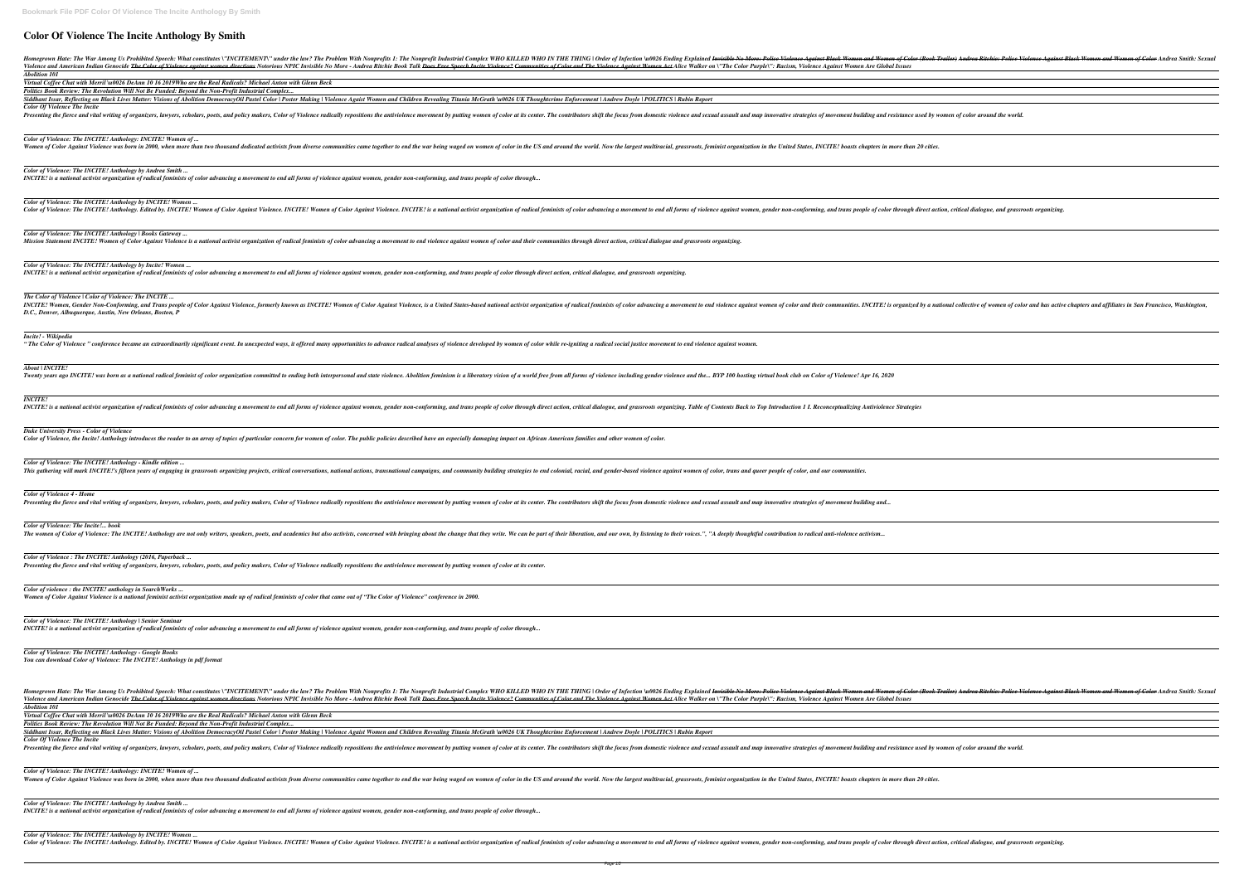# **Color Of Violence The Incite Anthology By Smith**

Homegrown Hate: The War Among Us Prohibited Speech: What constitutes \"INCITEMENT\" under the law? The Problem With Nonprofits 1: The Nonprofit Industrial Con Violence and American Indian Genocide <del>The Color of Violence against women directions</del> Notorious NPIC Invisible No More - Andrea Ritchie Book Talk <del>Does Free Speech I</del>. *Abolition 101*

Siddhant Issar, Reflecting on Black Lives Matter: Visions of Abolition DemocracyOil Pastel Color | Poster Making | Violence Agaist Women and Children Revealing Titania N *Color Of Violence The Incite*

Presenting the fierce and vital writing of organizers, lawyers, scholars, poets, and policy makers, Color of Violence radically repositions the antiviolence movement by putting

*Virtual Coffee Chat with Merril \u0026 DeAnn 10 16 2019Who are the Real Radicals? Michael Anton with Glenn Beck*

*Politics Book Review: The Revolution Will Not Be Funded: Beyond the Non-Profit Industrial Complex...*

*Color of Violence: The INCITE! Anthology by Andrea Smith ... INCITE!* is a national activist organization of radical feminists of color advancing a movement to end all forms of violence against women, gender non-conforming, and trans

*Color of Violence: The INCITE! Anthology by INCITE! Women ...* Color of Violence: The INCITE! Anthology. Edited by. INCITE! Women of Color Against Violence. INCITE! Women of Color Against Violence. INCITE! is a national activi

*Color of Violence: The INCITE! Anthology | Books Gateway ...* Mission Statement INCITE! Women of Color Against Violence is a national activist organization of radical feminists of color advancing a movement to end violence against w

*Color of Violence: The INCITE! Anthology by Incite! Women ...* INCITE! is a national activist organization of radical feminists of color advancing a movement to end all forms of violence against women, gender non-conforming, and trans

*Color of Violence: The INCITE! Anthology: INCITE! Women of ...*

Women of Color Against Violence was born in 2000, when more than two thousand dedicated activists from diverse communities came together to end the war being waged on

INCITE! Women, Gender Non-Conforming, and Trans people of Color Against Violence, formerly known as INCITE! Women of Color Against Violence, is a United States-b *D.C., Denver, Albuquerque, Austin, New Orleans, Boston, P*

*Color of Violence: The INCITE! Anthology - Kindle edition ...* This gathering will mark INCITE!'s fifteen years of engaging in grassroots organizing projects, critical conversations, national actions, transnational campaigns, and commu

*Color of Violence : The INCITE! Anthology (2016, Paperback ... Presenting the fierce and vital writing of organizers, lawyers, scholars, poets, and policy makers, Color of Violence radically repositions the antiviolence movement by putting woment by putting* 

*Color of Violence: The INCITE! Anthology | Senior Seminar INCITE!* is a national activist organization of radical feminists of color advancing a movement to end all forms of violence against women, gender non-conforming, and trans

*The Color of Violence | Color of Violence: The INCITE ...*

Homegrown Hate: The War Among Us Prohibited Speech: What constitutes \''INCITEMENT\'' under the law? The Problem With Nonprofits 1: The Nonprofit Industrial Con Violence and American Indian Genocide <del>The Color of Violence against women directions</del> Notorious NPIC Invisible No More - Andrea Ritchie Book Talk <del>Does Free Speech I</del>. *Abolition 101*

## *Incite! - Wikipedia*

"The Color of Violence" conference became an extraordinarily significant event. In unexpected ways, it offered many opportunities to advance radical analyses of violence de

## *About | INCITE!*

Twenty years ago INCITE! was born as a national radical feminist of color organization committed to ending both interpersonal and state violence. Abolition feminism is a lib

*Color of Violence: The INCITE! Anthology: INCITE! Women of ...* Women of Color Against Violence was born in 2000, when more than two thousand dedicated activists from diverse communities came together to end the war being waged on

*Color of Violence: The INCITE! Anthology by Andrea Smith ... INCITE!* is a national activist organization of radical feminists of color advancing a movement to end all forms of violence against women, gender non-conforming, and trans

## *INCITE!*

INCITE! is a national activist organization of radical feminists of color advancing a movement to end all forms of violence against women, gender non-conforming, and trans

*Color of Violence: The INCITE! Anthology by INCITE! Women ...* Color of Violence: The INCITE! Anthology. Edited by. INCITE! Women of Color Against Violence. INCITE! Women of Color Against Violence. INCITE! is a national activist organization of radical feminists of color advancing, an

| mplex WHO KILLED WHO IN THE THING   Order of Infection \u0026 Ending Explained <del>Invisible No More: Police Violence Against Black Women of Color (Book Trailer) Andrea Ritchie: Police Violence Against Black Women and Women o</del><br>n <del>cite Violence? Communities of Color and The Violence Against Women Act</del> Alice Walker on \''The Color Purple\'': Racism, Violence Against Women Are Global Issues |
|--------------------------------------------------------------------------------------------------------------------------------------------------------------------------------------------------------------------------------------------------------------------------------------------------------------------------------------------------------------------------------------------------------------------------|
|                                                                                                                                                                                                                                                                                                                                                                                                                          |
| AcGrath \u0026 UK Thoughtcrime Enforcement   Andrew Doyle   POLITICS   Rubin Report                                                                                                                                                                                                                                                                                                                                      |
| women of color at its center. The contributors shift the focus from domestic violence and sexual assault and map innovative strategies of movement building and resistance used by women of color around the world.                                                                                                                                                                                                      |
| women of color in the US and around the world. Now the largest multiracial, grassroots, feminist organization in the United States, INCITE! boasts chapters in more than 20 cities.                                                                                                                                                                                                                                      |
| people of color through                                                                                                                                                                                                                                                                                                                                                                                                  |
| ist organization of radical feminists of color advancing a movement to end all forms of violence against women, gender non-conforming, and trans people of color through direct action, critical dialogue, and grassroots orga                                                                                                                                                                                           |
| omen of color and their communities through direct action, critical dialogue and grassroots organizing.                                                                                                                                                                                                                                                                                                                  |
| people of color through direct action, critical dialogue, and grassroots organizing.                                                                                                                                                                                                                                                                                                                                     |
| ased national activist organization of radical feminists of color advancing a movement to end violence against women of color and their communities. INCITE! is organized by a national collective of women of color and has a                                                                                                                                                                                           |
| eveloped by women of color while re-igniting a radical social justice movement to end violence against women.                                                                                                                                                                                                                                                                                                            |
| eratory vision of a world free from all forms of violence including gender violence and the… BYP 100 hosting virtual book club on Color of Violence! Apr 16, 2020                                                                                                                                                                                                                                                        |
| people of color through direct action, critical dialogue, and grassroots organizing. Table of Contents Back to Top Introduction 1 I. Reconceptualizing Antiviolence Strategies                                                                                                                                                                                                                                           |
| damaging impact on African American families and other women of color.                                                                                                                                                                                                                                                                                                                                                   |
| nity building strategies to end colonial, racial, and gender-based violence against women of color, trans and queer people of color, and our communities.                                                                                                                                                                                                                                                                |
| women of color at its center. The contributors shift the focus from domestic violence and sexual assault and map innovative strategies of movement building and                                                                                                                                                                                                                                                          |
| at they write. We can be part of their liberation, and our own, by listening to their voices.'', ''A deeply thoughtful contribution to radical anti-violence activism                                                                                                                                                                                                                                                    |
| women of color at its center.                                                                                                                                                                                                                                                                                                                                                                                            |
|                                                                                                                                                                                                                                                                                                                                                                                                                          |
| people of color through                                                                                                                                                                                                                                                                                                                                                                                                  |
|                                                                                                                                                                                                                                                                                                                                                                                                                          |
| mplex WHO KILLED WHO IN THE THING   Order of Infection \u0026 Ending Explained <del>Invisible No More: Police Violence Against Black Women of Color (Book Trailer) Andrea Ritchie: Police Violence Against Black Women and Women o</del><br>n <del>cite Violence? Communities of Color and The Violence Against Women Act</del> Alice Walker on \''The Color Purple\'': Racism, Violence Against Women Are Global Issues |
| AcGrath \u0026 UK Thoughtcrime Enforcement   Andrew Doyle   POLITICS   Rubin Report                                                                                                                                                                                                                                                                                                                                      |
| women of color at its center. The contributors shift the focus from domestic violence and sexual assault and map innovative strategies of movement building and resistance used by women of color around the world.                                                                                                                                                                                                      |
| women of color in the US and around the world. Now the largest multiracial, grassroots, feminist organization in the United States, INCITE! boasts chapters in more than 20 cities.                                                                                                                                                                                                                                      |
| people of color through                                                                                                                                                                                                                                                                                                                                                                                                  |

## *Duke University Press - Color of Violence*

Color of Violence, the Incite! Anthology introduces the reader to an array of topics of particular concern for women of color. The public policies described have an especially of

## *Color of Violence 4 - Home*

Presenting the fierce and vital writing of organizers, lawyers, scholars, poets, and policy makers, Color of Violence radically repositions the antiviolence movement by putting

*Color of Violence: The Incite!... book*

The women of Color of Violence: The INCITE! Anthology are not only writers, speakers, poets, and academics but also activists, concerned with bringing about the change the

*Color of violence : the INCITE! anthology in SearchWorks ... Women of Color Against Violence is a national feminist activist organization made up of radical feminists of color that came out of "The Color of Violence" conference in 2000.*

*Color of Violence: The INCITE! Anthology - Google Books You can download Color of Violence: The INCITE! Anthology in pdf format*

*Virtual Coffee Chat with Merril \u0026 DeAnn 10 16 2019Who are the Real Radicals? Michael Anton with Glenn Beck*

*Politics Book Review: The Revolution Will Not Be Funded: Beyond the Non-Profit Industrial Complex...* Siddhant Issar, Reflecting on Black Lives Matter: Visions of Abolition DemocracyOil Pastel Color | Poster Making | Violence Agaist Women and Children Revealing Titania N *Color Of Violence The Incite*

Presenting the fierce and vital writing of organizers, lawyers, scholars, poets, and policy makers, Color of Violence radically repositions the antiviolence movement by putting